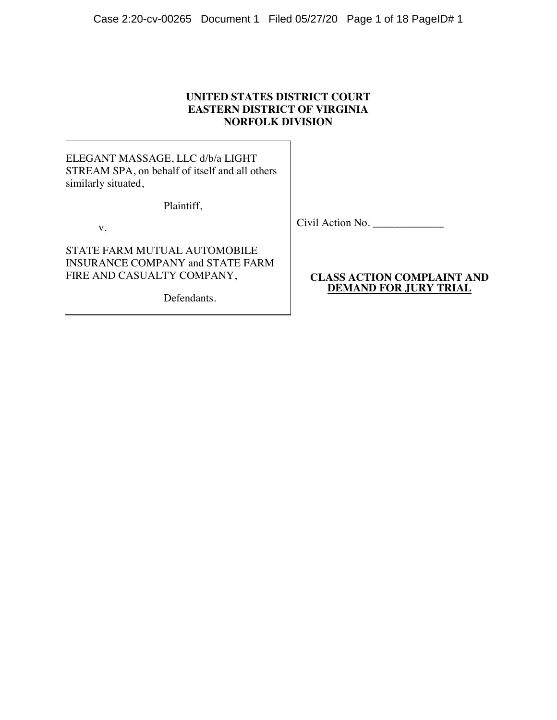## **UNITED STATES DISTRICT COURT EASTERN DISTRICT OF VIRGINIA NORFOLK DIVISION**

ELEGANT MASSAGE, LLC d/b/a LIGHT STREAM SPA, on behalf of itself and all others similarly situated,

Plaintiff,

v.

STATE FARM MUTUAL AUTOMOBILE INSURANCE COMPANY and STATE FARM FIRE AND CASUALTY COMPANY,

Defendants.

Civil Action No.

## **CLASS ACTION COMPLAINT AND DEMAND FOR JURY TRIAL**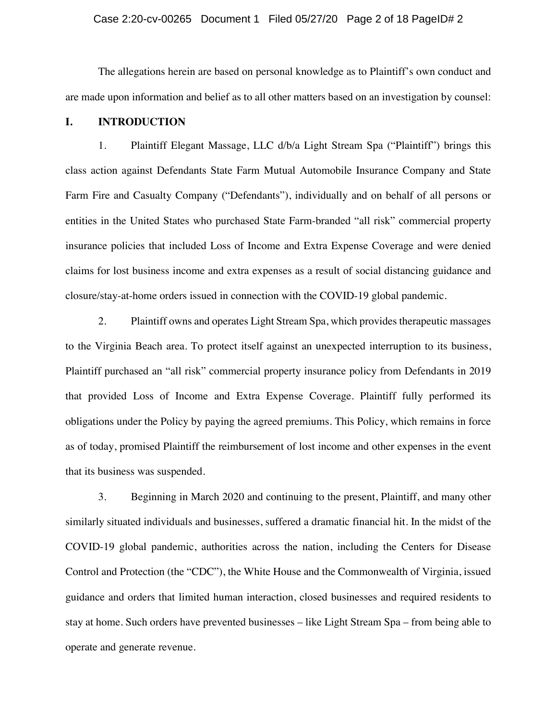### Case 2:20-cv-00265 Document 1 Filed 05/27/20 Page 2 of 18 PageID# 2

The allegations herein are based on personal knowledge as to Plaintiff's own conduct and are made upon information and belief as to all other matters based on an investigation by counsel:

### **I. INTRODUCTION**

1. Plaintiff Elegant Massage, LLC d/b/a Light Stream Spa ("Plaintiff") brings this class action against Defendants State Farm Mutual Automobile Insurance Company and State Farm Fire and Casualty Company ("Defendants"), individually and on behalf of all persons or entities in the United States who purchased State Farm-branded "all risk" commercial property insurance policies that included Loss of Income and Extra Expense Coverage and were denied claims for lost business income and extra expenses as a result of social distancing guidance and closure/stay-at-home orders issued in connection with the COVID-19 global pandemic.

2. Plaintiff owns and operates Light Stream Spa, which provides therapeutic massages to the Virginia Beach area. To protect itself against an unexpected interruption to its business, Plaintiff purchased an "all risk" commercial property insurance policy from Defendants in 2019 that provided Loss of Income and Extra Expense Coverage. Plaintiff fully performed its obligations under the Policy by paying the agreed premiums. This Policy, which remains in force as of today, promised Plaintiff the reimbursement of lost income and other expenses in the event that its business was suspended.

3. Beginning in March 2020 and continuing to the present, Plaintiff, and many other similarly situated individuals and businesses, suffered a dramatic financial hit. In the midst of the COVID-19 global pandemic, authorities across the nation, including the Centers for Disease Control and Protection (the "CDC"), the White House and the Commonwealth of Virginia, issued guidance and orders that limited human interaction, closed businesses and required residents to stay at home. Such orders have prevented businesses – like Light Stream Spa – from being able to operate and generate revenue.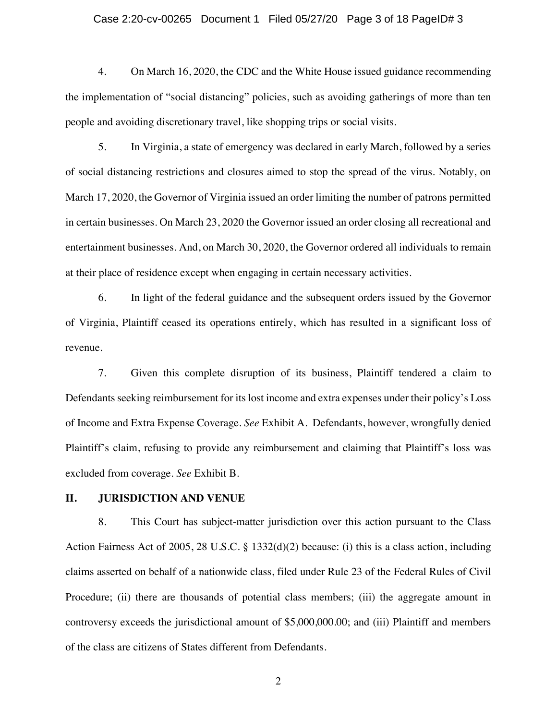### Case 2:20-cv-00265 Document 1 Filed 05/27/20 Page 3 of 18 PageID# 3

4. On March 16, 2020, the CDC and the White House issued guidance recommending the implementation of "social distancing" policies, such as avoiding gatherings of more than ten people and avoiding discretionary travel, like shopping trips or social visits.

5. In Virginia, a state of emergency was declared in early March, followed by a series of social distancing restrictions and closures aimed to stop the spread of the virus. Notably, on March 17, 2020, the Governor of Virginia issued an order limiting the number of patrons permitted in certain businesses. On March 23, 2020 the Governor issued an order closing all recreational and entertainment businesses. And, on March 30, 2020, the Governor ordered all individuals to remain at their place of residence except when engaging in certain necessary activities.

6. In light of the federal guidance and the subsequent orders issued by the Governor of Virginia, Plaintiff ceased its operations entirely, which has resulted in a significant loss of revenue.

7. Given this complete disruption of its business, Plaintiff tendered a claim to Defendants seeking reimbursement for its lost income and extra expenses under their policy's Loss of Income and Extra Expense Coverage. *See* Exhibit A. Defendants, however, wrongfully denied Plaintiff's claim, refusing to provide any reimbursement and claiming that Plaintiff's loss was excluded from coverage. *See* Exhibit B.

## **II. JURISDICTION AND VENUE**

8. This Court has subject-matter jurisdiction over this action pursuant to the Class Action Fairness Act of 2005, 28 U.S.C. § 1332(d)(2) because: (i) this is a class action, including claims asserted on behalf of a nationwide class, filed under Rule 23 of the Federal Rules of Civil Procedure; (ii) there are thousands of potential class members; (iii) the aggregate amount in controversy exceeds the jurisdictional amount of \$5,000,000.00; and (iii) Plaintiff and members of the class are citizens of States different from Defendants.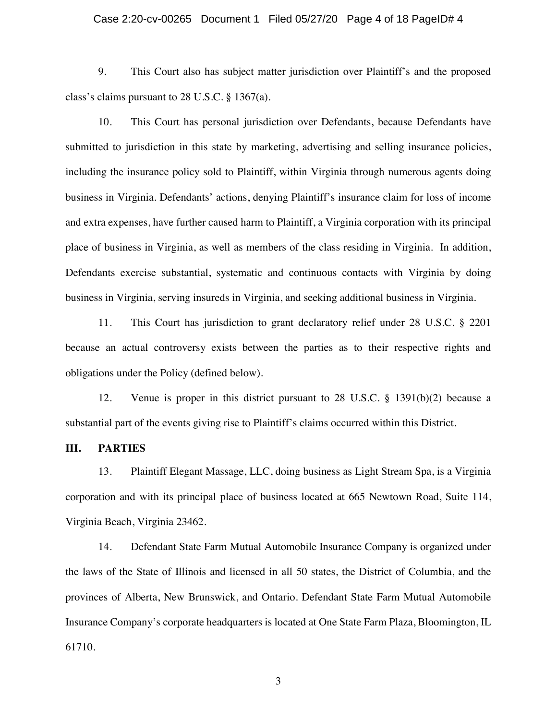### Case 2:20-cv-00265 Document 1 Filed 05/27/20 Page 4 of 18 PageID# 4

9. This Court also has subject matter jurisdiction over Plaintiff's and the proposed class's claims pursuant to 28 U.S.C. § 1367(a).

10. This Court has personal jurisdiction over Defendants, because Defendants have submitted to jurisdiction in this state by marketing, advertising and selling insurance policies, including the insurance policy sold to Plaintiff, within Virginia through numerous agents doing business in Virginia. Defendants' actions, denying Plaintiff's insurance claim for loss of income and extra expenses, have further caused harm to Plaintiff, a Virginia corporation with its principal place of business in Virginia, as well as members of the class residing in Virginia. In addition, Defendants exercise substantial, systematic and continuous contacts with Virginia by doing business in Virginia, serving insureds in Virginia, and seeking additional business in Virginia.

11. This Court has jurisdiction to grant declaratory relief under 28 U.S.C. § 2201 because an actual controversy exists between the parties as to their respective rights and obligations under the Policy (defined below).

12. Venue is proper in this district pursuant to 28 U.S.C. § 1391(b)(2) because a substantial part of the events giving rise to Plaintiff's claims occurred within this District.

### **III. PARTIES**

13. Plaintiff Elegant Massage, LLC, doing business as Light Stream Spa, is a Virginia corporation and with its principal place of business located at 665 Newtown Road, Suite 114, Virginia Beach, Virginia 23462.

14. Defendant State Farm Mutual Automobile Insurance Company is organized under the laws of the State of Illinois and licensed in all 50 states, the District of Columbia, and the provinces of Alberta, New Brunswick, and Ontario. Defendant State Farm Mutual Automobile Insurance Company's corporate headquarters is located at One State Farm Plaza, Bloomington, IL 61710.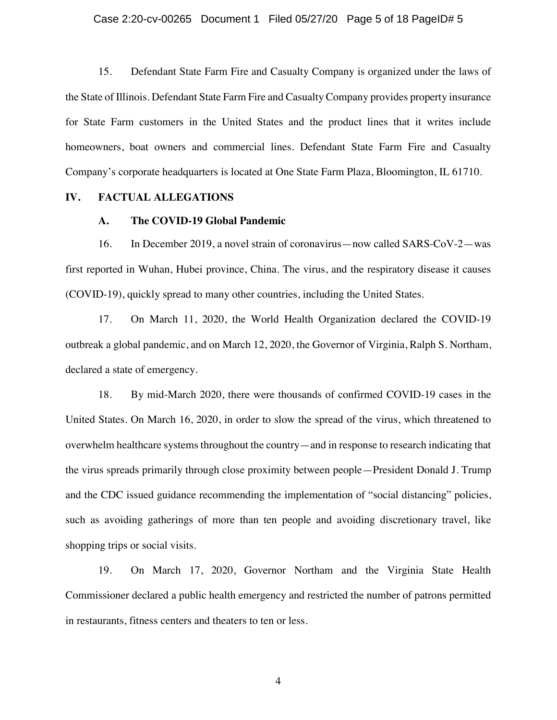### Case 2:20-cv-00265 Document 1 Filed 05/27/20 Page 5 of 18 PageID# 5

15. Defendant State Farm Fire and Casualty Company is organized under the laws of the State of Illinois. Defendant State Farm Fire and Casualty Company provides property insurance for State Farm customers in the United States and the product lines that it writes include homeowners, boat owners and commercial lines. Defendant State Farm Fire and Casualty Company's corporate headquarters is located at One State Farm Plaza, Bloomington, IL 61710.

### **IV. FACTUAL ALLEGATIONS**

### **A. The COVID-19 Global Pandemic**

16. In December 2019, a novel strain of coronavirus—now called SARS-CoV-2—was first reported in Wuhan, Hubei province, China. The virus, and the respiratory disease it causes (COVID-19), quickly spread to many other countries, including the United States.

17. On March 11, 2020, the World Health Organization declared the COVID-19 outbreak a global pandemic, and on March 12, 2020, the Governor of Virginia, Ralph S. Northam, declared a state of emergency.

18. By mid-March 2020, there were thousands of confirmed COVID-19 cases in the United States. On March 16, 2020, in order to slow the spread of the virus, which threatened to overwhelm healthcare systems throughout the country—and in response to research indicating that the virus spreads primarily through close proximity between people—President Donald J. Trump and the CDC issued guidance recommending the implementation of "social distancing" policies, such as avoiding gatherings of more than ten people and avoiding discretionary travel, like shopping trips or social visits.

19. On March 17, 2020, Governor Northam and the Virginia State Health Commissioner declared a public health emergency and restricted the number of patrons permitted in restaurants, fitness centers and theaters to ten or less.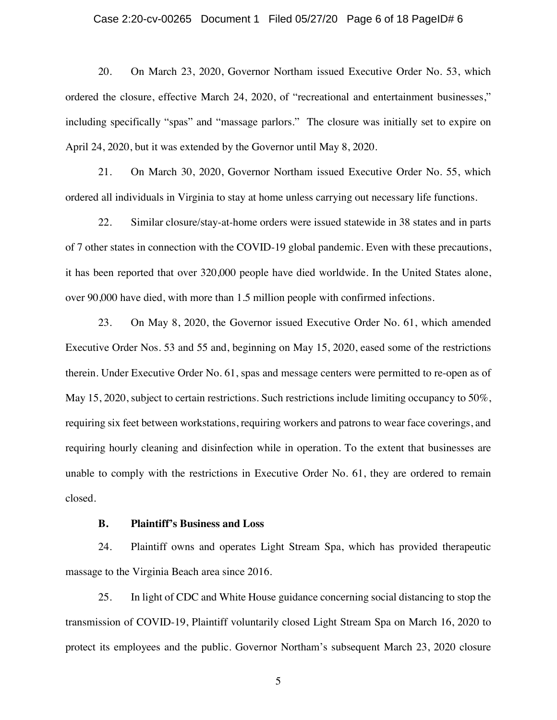#### Case 2:20-cv-00265 Document 1 Filed 05/27/20 Page 6 of 18 PageID# 6

20. On March 23, 2020, Governor Northam issued Executive Order No. 53, which ordered the closure, effective March 24, 2020, of "recreational and entertainment businesses," including specifically "spas" and "massage parlors." The closure was initially set to expire on April 24, 2020, but it was extended by the Governor until May 8, 2020.

21. On March 30, 2020, Governor Northam issued Executive Order No. 55, which ordered all individuals in Virginia to stay at home unless carrying out necessary life functions.

22. Similar closure/stay-at-home orders were issued statewide in 38 states and in parts of 7 other states in connection with the COVID-19 global pandemic. Even with these precautions, it has been reported that over 320,000 people have died worldwide. In the United States alone, over 90,000 have died, with more than 1.5 million people with confirmed infections.

23. On May 8, 2020, the Governor issued Executive Order No. 61, which amended Executive Order Nos. 53 and 55 and, beginning on May 15, 2020, eased some of the restrictions therein. Under Executive Order No. 61, spas and message centers were permitted to re-open as of May 15, 2020, subject to certain restrictions. Such restrictions include limiting occupancy to 50%, requiring six feet between workstations, requiring workers and patrons to wear face coverings, and requiring hourly cleaning and disinfection while in operation. To the extent that businesses are unable to comply with the restrictions in Executive Order No. 61, they are ordered to remain closed.

### **B. Plaintiff's Business and Loss**

24. Plaintiff owns and operates Light Stream Spa, which has provided therapeutic massage to the Virginia Beach area since 2016.

25. In light of CDC and White House guidance concerning social distancing to stop the transmission of COVID-19, Plaintiff voluntarily closed Light Stream Spa on March 16, 2020 to protect its employees and the public. Governor Northam's subsequent March 23, 2020 closure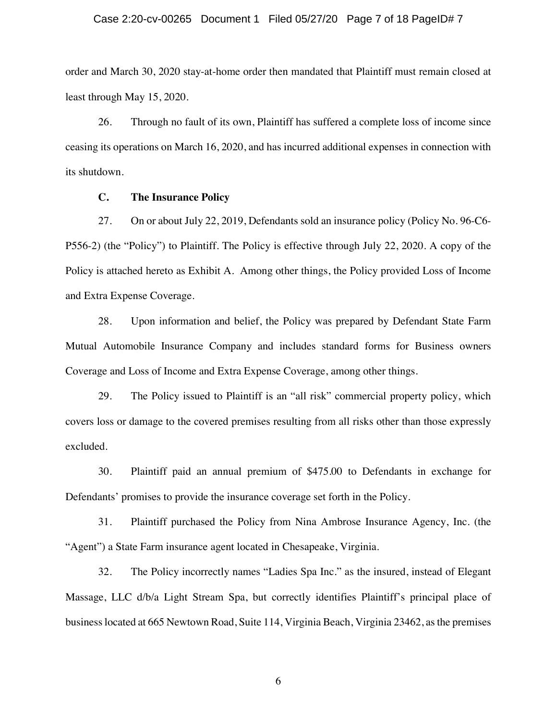### Case 2:20-cv-00265 Document 1 Filed 05/27/20 Page 7 of 18 PageID# 7

order and March 30, 2020 stay-at-home order then mandated that Plaintiff must remain closed at least through May 15, 2020.

26. Through no fault of its own, Plaintiff has suffered a complete loss of income since ceasing its operations on March 16, 2020, and has incurred additional expenses in connection with its shutdown.

## **C. The Insurance Policy**

27. On or about July 22, 2019, Defendants sold an insurance policy (Policy No. 96-C6- P556-2) (the "Policy") to Plaintiff. The Policy is effective through July 22, 2020. A copy of the Policy is attached hereto as Exhibit A. Among other things, the Policy provided Loss of Income and Extra Expense Coverage.

28. Upon information and belief, the Policy was prepared by Defendant State Farm Mutual Automobile Insurance Company and includes standard forms for Business owners Coverage and Loss of Income and Extra Expense Coverage, among other things.

29. The Policy issued to Plaintiff is an "all risk" commercial property policy, which covers loss or damage to the covered premises resulting from all risks other than those expressly excluded.

30. Plaintiff paid an annual premium of \$475.00 to Defendants in exchange for Defendants' promises to provide the insurance coverage set forth in the Policy.

31. Plaintiff purchased the Policy from Nina Ambrose Insurance Agency, Inc. (the "Agent") a State Farm insurance agent located in Chesapeake, Virginia.

32. The Policy incorrectly names "Ladies Spa Inc." as the insured, instead of Elegant Massage, LLC d/b/a Light Stream Spa, but correctly identifies Plaintiff's principal place of business located at 665 Newtown Road, Suite 114, Virginia Beach, Virginia 23462, as the premises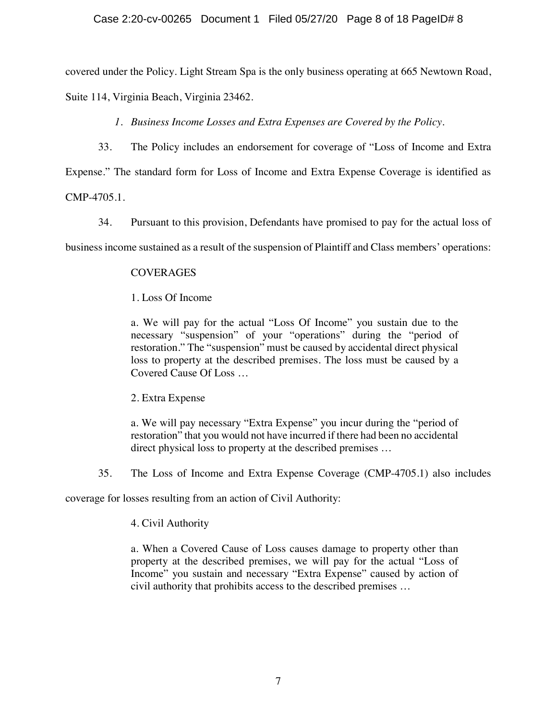## Case 2:20-cv-00265 Document 1 Filed 05/27/20 Page 8 of 18 PageID# 8

covered under the Policy. Light Stream Spa is the only business operating at 665 Newtown Road,

Suite 114, Virginia Beach, Virginia 23462.

*1. Business Income Losses and Extra Expenses are Covered by the Policy.*

33. The Policy includes an endorsement for coverage of "Loss of Income and Extra

Expense." The standard form for Loss of Income and Extra Expense Coverage is identified as

CMP-4705.1.

34. Pursuant to this provision, Defendants have promised to pay for the actual loss of

business income sustained as a result of the suspension of Plaintiff and Class members' operations:

# **COVERAGES**

# 1. Loss Of Income

a. We will pay for the actual "Loss Of Income" you sustain due to the necessary "suspension" of your "operations" during the "period of restoration." The "suspension" must be caused by accidental direct physical loss to property at the described premises. The loss must be caused by a Covered Cause Of Loss …

2. Extra Expense

a. We will pay necessary "Extra Expense" you incur during the "period of restoration" that you would not have incurred if there had been no accidental direct physical loss to property at the described premises …

35. The Loss of Income and Extra Expense Coverage (CMP-4705.1) also includes

coverage for losses resulting from an action of Civil Authority:

# 4. Civil Authority

a. When a Covered Cause of Loss causes damage to property other than property at the described premises, we will pay for the actual "Loss of Income" you sustain and necessary "Extra Expense" caused by action of civil authority that prohibits access to the described premises …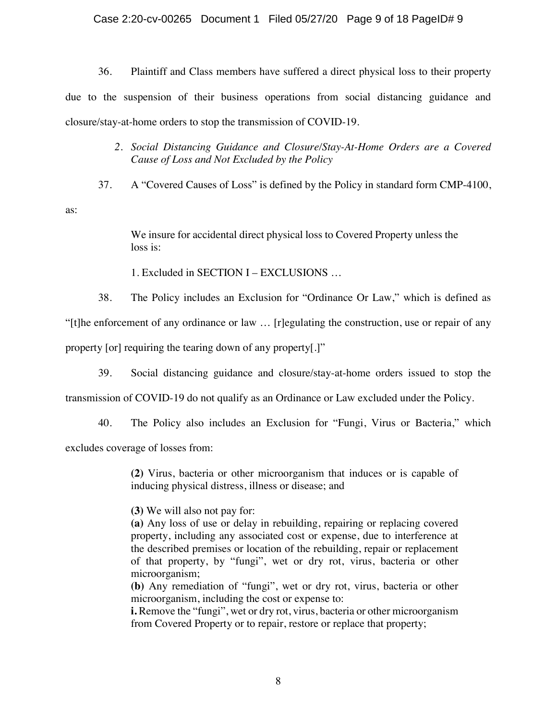## Case 2:20-cv-00265 Document 1 Filed 05/27/20 Page 9 of 18 PageID# 9

36. Plaintiff and Class members have suffered a direct physical loss to their property due to the suspension of their business operations from social distancing guidance and closure/stay-at-home orders to stop the transmission of COVID-19.

- *2. Social Distancing Guidance and Closure/Stay-At-Home Orders are a Covered Cause of Loss and Not Excluded by the Policy*
- 37. A "Covered Causes of Loss" is defined by the Policy in standard form CMP-4100,

as:

We insure for accidental direct physical loss to Covered Property unless the loss is:

1. Excluded in SECTION I – EXCLUSIONS …

38. The Policy includes an Exclusion for "Ordinance Or Law," which is defined as

"[t]he enforcement of any ordinance or law … [r]egulating the construction, use or repair of any

property [or] requiring the tearing down of any property[.]"

39. Social distancing guidance and closure/stay-at-home orders issued to stop the

transmission of COVID-19 do not qualify as an Ordinance or Law excluded under the Policy.

40. The Policy also includes an Exclusion for "Fungi, Virus or Bacteria," which

excludes coverage of losses from:

**(2)** Virus, bacteria or other microorganism that induces or is capable of inducing physical distress, illness or disease; and

**(3)** We will also not pay for:

**(a)** Any loss of use or delay in rebuilding, repairing or replacing covered property, including any associated cost or expense, due to interference at the described premises or location of the rebuilding, repair or replacement of that property, by "fungi", wet or dry rot, virus, bacteria or other microorganism;

**(b)** Any remediation of "fungi", wet or dry rot, virus, bacteria or other microorganism, including the cost or expense to:

**i.** Remove the "fungi", wet or dry rot, virus, bacteria or other microorganism from Covered Property or to repair, restore or replace that property;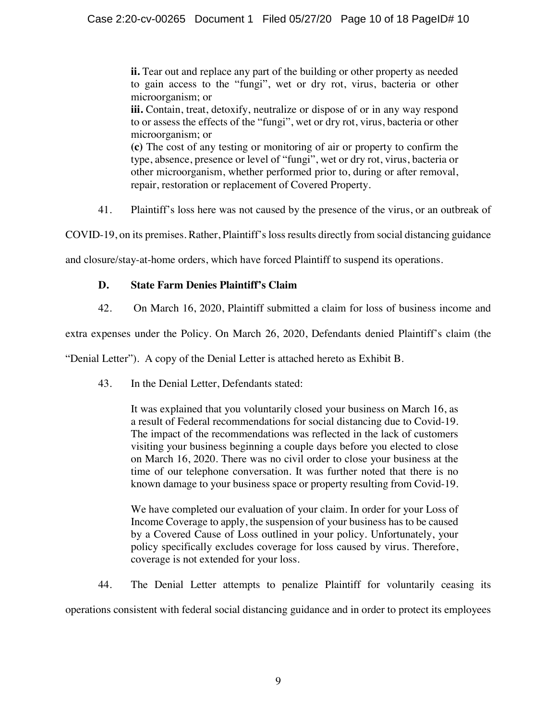**ii.** Tear out and replace any part of the building or other property as needed to gain access to the "fungi", wet or dry rot, virus, bacteria or other microorganism; or

**iii.** Contain, treat, detoxify, neutralize or dispose of or in any way respond to or assess the effects of the "fungi", wet or dry rot, virus, bacteria or other microorganism; or

**(c)** The cost of any testing or monitoring of air or property to confirm the type, absence, presence or level of "fungi", wet or dry rot, virus, bacteria or other microorganism, whether performed prior to, during or after removal, repair, restoration or replacement of Covered Property.

41. Plaintiff's loss here was not caused by the presence of the virus, or an outbreak of

COVID-19, on its premises. Rather, Plaintiff's loss results directly from social distancing guidance

and closure/stay-at-home orders, which have forced Plaintiff to suspend its operations.

# **D. State Farm Denies Plaintiff's Claim**

42. On March 16, 2020, Plaintiff submitted a claim for loss of business income and

extra expenses under the Policy. On March 26, 2020, Defendants denied Plaintiff's claim (the

"Denial Letter"). A copy of the Denial Letter is attached hereto as Exhibit B.

43. In the Denial Letter, Defendants stated:

It was explained that you voluntarily closed your business on March 16, as a result of Federal recommendations for social distancing due to Covid-19. The impact of the recommendations was reflected in the lack of customers visiting your business beginning a couple days before you elected to close on March 16, 2020. There was no civil order to close your business at the time of our telephone conversation. It was further noted that there is no known damage to your business space or property resulting from Covid-19.

We have completed our evaluation of your claim. In order for your Loss of Income Coverage to apply, the suspension of your business has to be caused by a Covered Cause of Loss outlined in your policy. Unfortunately, your policy specifically excludes coverage for loss caused by virus. Therefore, coverage is not extended for your loss.

44. The Denial Letter attempts to penalize Plaintiff for voluntarily ceasing its operations consistent with federal social distancing guidance and in order to protect its employees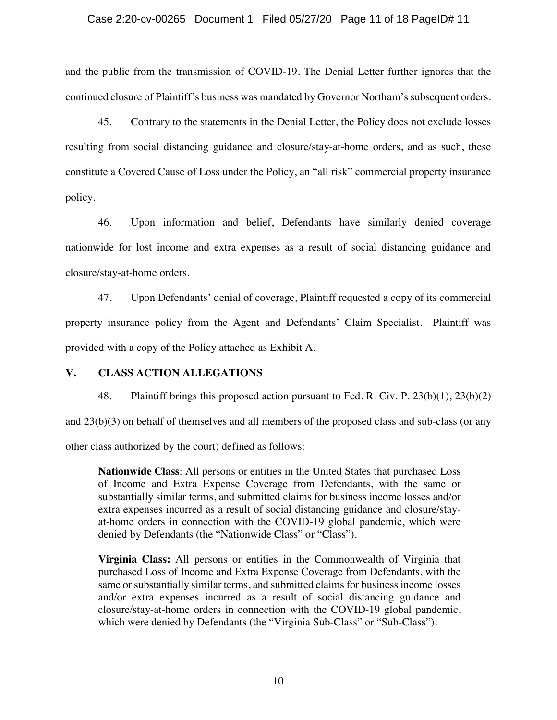### Case 2:20-cv-00265 Document 1 Filed 05/27/20 Page 11 of 18 PageID# 11

and the public from the transmission of COVID-19. The Denial Letter further ignores that the continued closure of Plaintiff's business was mandated by Governor Northam's subsequent orders.

45. Contrary to the statements in the Denial Letter, the Policy does not exclude losses resulting from social distancing guidance and closure/stay-at-home orders, and as such, these constitute a Covered Cause of Loss under the Policy, an "all risk" commercial property insurance policy.

46. Upon information and belief, Defendants have similarly denied coverage nationwide for lost income and extra expenses as a result of social distancing guidance and closure/stay-at-home orders.

47. Upon Defendants' denial of coverage, Plaintiff requested a copy of its commercial property insurance policy from the Agent and Defendants' Claim Specialist. Plaintiff was provided with a copy of the Policy attached as Exhibit A.

### **V. CLASS ACTION ALLEGATIONS**

48. Plaintiff brings this proposed action pursuant to Fed. R. Civ. P. 23(b)(1), 23(b)(2) and 23(b)(3) on behalf of themselves and all members of the proposed class and sub-class (or any other class authorized by the court) defined as follows:

**Nationwide Class**: All persons or entities in the United States that purchased Loss of Income and Extra Expense Coverage from Defendants, with the same or substantially similar terms, and submitted claims for business income losses and/or extra expenses incurred as a result of social distancing guidance and closure/stayat-home orders in connection with the COVID-19 global pandemic, which were denied by Defendants (the "Nationwide Class" or "Class").

**Virginia Class:** All persons or entities in the Commonwealth of Virginia that purchased Loss of Income and Extra Expense Coverage from Defendants, with the same or substantially similar terms, and submitted claims for business income losses and/or extra expenses incurred as a result of social distancing guidance and closure/stay-at-home orders in connection with the COVID-19 global pandemic, which were denied by Defendants (the "Virginia Sub-Class" or "Sub-Class").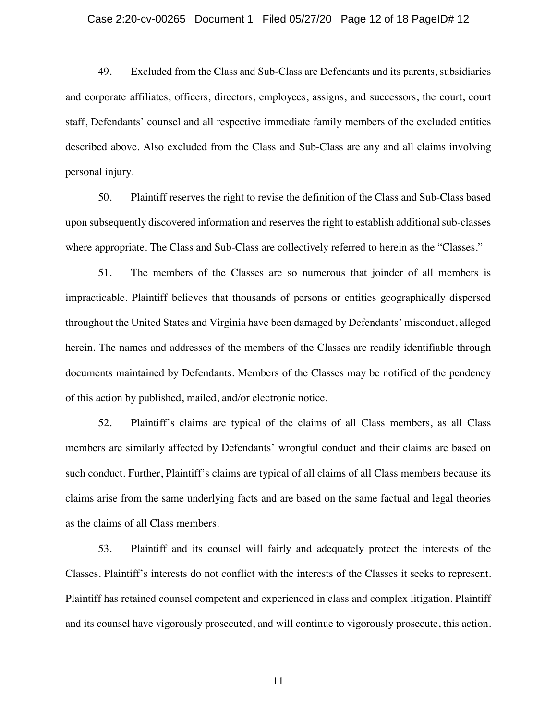#### Case 2:20-cv-00265 Document 1 Filed 05/27/20 Page 12 of 18 PageID# 12

49. Excluded from the Class and Sub-Class are Defendants and its parents, subsidiaries and corporate affiliates, officers, directors, employees, assigns, and successors, the court, court staff, Defendants' counsel and all respective immediate family members of the excluded entities described above. Also excluded from the Class and Sub-Class are any and all claims involving personal injury.

50. Plaintiff reserves the right to revise the definition of the Class and Sub-Class based upon subsequently discovered information and reserves the right to establish additional sub-classes where appropriate. The Class and Sub-Class are collectively referred to herein as the "Classes."

51. The members of the Classes are so numerous that joinder of all members is impracticable. Plaintiff believes that thousands of persons or entities geographically dispersed throughout the United States and Virginia have been damaged by Defendants' misconduct, alleged herein. The names and addresses of the members of the Classes are readily identifiable through documents maintained by Defendants. Members of the Classes may be notified of the pendency of this action by published, mailed, and/or electronic notice.

52. Plaintiff's claims are typical of the claims of all Class members, as all Class members are similarly affected by Defendants' wrongful conduct and their claims are based on such conduct. Further, Plaintiff's claims are typical of all claims of all Class members because its claims arise from the same underlying facts and are based on the same factual and legal theories as the claims of all Class members.

53. Plaintiff and its counsel will fairly and adequately protect the interests of the Classes. Plaintiff's interests do not conflict with the interests of the Classes it seeks to represent. Plaintiff has retained counsel competent and experienced in class and complex litigation. Plaintiff and its counsel have vigorously prosecuted, and will continue to vigorously prosecute, this action.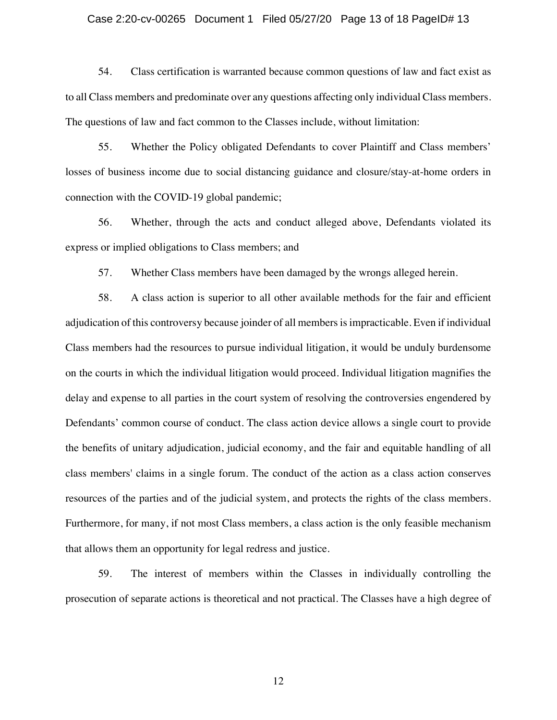### Case 2:20-cv-00265 Document 1 Filed 05/27/20 Page 13 of 18 PageID# 13

54. Class certification is warranted because common questions of law and fact exist as to all Class members and predominate over any questions affecting only individual Class members. The questions of law and fact common to the Classes include, without limitation:

55. Whether the Policy obligated Defendants to cover Plaintiff and Class members' losses of business income due to social distancing guidance and closure/stay-at-home orders in connection with the COVID-19 global pandemic;

56. Whether, through the acts and conduct alleged above, Defendants violated its express or implied obligations to Class members; and

57. Whether Class members have been damaged by the wrongs alleged herein.

58. A class action is superior to all other available methods for the fair and efficient adjudication of this controversy because joinder of all members is impracticable. Even if individual Class members had the resources to pursue individual litigation, it would be unduly burdensome on the courts in which the individual litigation would proceed. Individual litigation magnifies the delay and expense to all parties in the court system of resolving the controversies engendered by Defendants' common course of conduct. The class action device allows a single court to provide the benefits of unitary adjudication, judicial economy, and the fair and equitable handling of all class members' claims in a single forum. The conduct of the action as a class action conserves resources of the parties and of the judicial system, and protects the rights of the class members. Furthermore, for many, if not most Class members, a class action is the only feasible mechanism that allows them an opportunity for legal redress and justice.

59. The interest of members within the Classes in individually controlling the prosecution of separate actions is theoretical and not practical. The Classes have a high degree of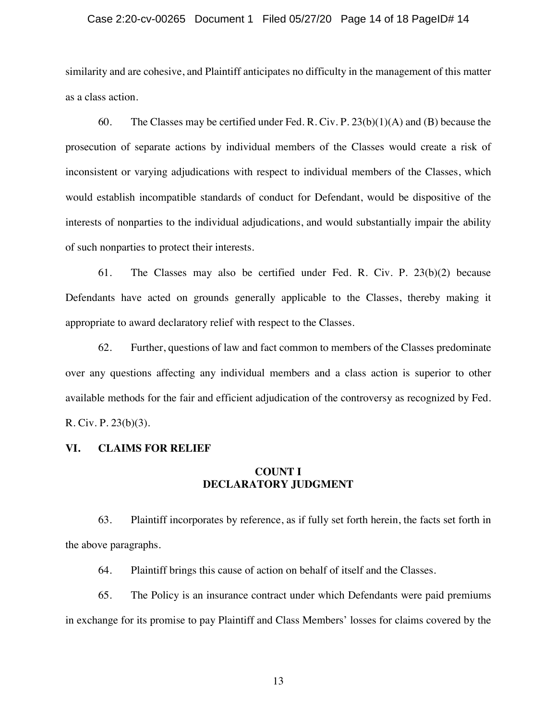#### Case 2:20-cv-00265 Document 1 Filed 05/27/20 Page 14 of 18 PageID# 14

similarity and are cohesive, and Plaintiff anticipates no difficulty in the management of this matter as a class action.

60. The Classes may be certified under Fed. R. Civ. P.  $23(b)(1)(A)$  and (B) because the prosecution of separate actions by individual members of the Classes would create a risk of inconsistent or varying adjudications with respect to individual members of the Classes, which would establish incompatible standards of conduct for Defendant, would be dispositive of the interests of nonparties to the individual adjudications, and would substantially impair the ability of such nonparties to protect their interests.

61. The Classes may also be certified under Fed. R. Civ. P. 23(b)(2) because Defendants have acted on grounds generally applicable to the Classes, thereby making it appropriate to award declaratory relief with respect to the Classes.

62. Further, questions of law and fact common to members of the Classes predominate over any questions affecting any individual members and a class action is superior to other available methods for the fair and efficient adjudication of the controversy as recognized by Fed. R. Civ. P. 23(b)(3).

### **VI. CLAIMS FOR RELIEF**

# **COUNT I DECLARATORY JUDGMENT**

63. Plaintiff incorporates by reference, as if fully set forth herein, the facts set forth in the above paragraphs.

64. Plaintiff brings this cause of action on behalf of itself and the Classes.

65. The Policy is an insurance contract under which Defendants were paid premiums in exchange for its promise to pay Plaintiff and Class Members' losses for claims covered by the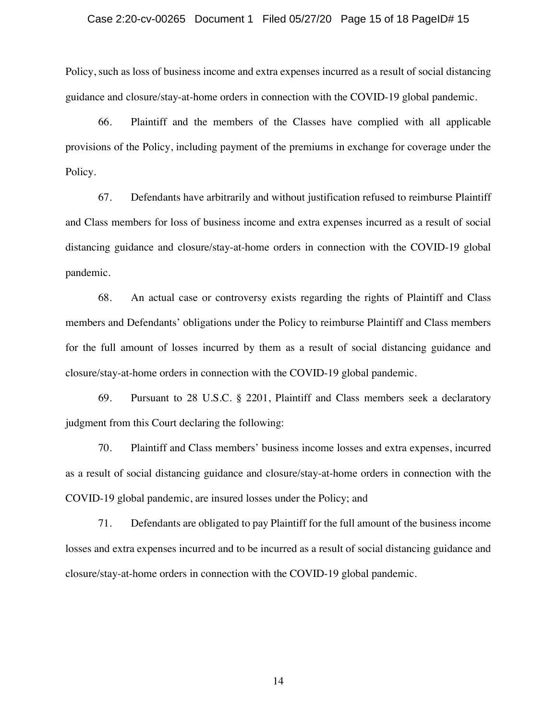### Case 2:20-cv-00265 Document 1 Filed 05/27/20 Page 15 of 18 PageID# 15

Policy, such as loss of business income and extra expenses incurred as a result of social distancing guidance and closure/stay-at-home orders in connection with the COVID-19 global pandemic.

66. Plaintiff and the members of the Classes have complied with all applicable provisions of the Policy, including payment of the premiums in exchange for coverage under the Policy.

67. Defendants have arbitrarily and without justification refused to reimburse Plaintiff and Class members for loss of business income and extra expenses incurred as a result of social distancing guidance and closure/stay-at-home orders in connection with the COVID-19 global pandemic.

68. An actual case or controversy exists regarding the rights of Plaintiff and Class members and Defendants' obligations under the Policy to reimburse Plaintiff and Class members for the full amount of losses incurred by them as a result of social distancing guidance and closure/stay-at-home orders in connection with the COVID-19 global pandemic.

69. Pursuant to 28 U.S.C. § 2201, Plaintiff and Class members seek a declaratory judgment from this Court declaring the following:

70. Plaintiff and Class members' business income losses and extra expenses, incurred as a result of social distancing guidance and closure/stay-at-home orders in connection with the COVID-19 global pandemic, are insured losses under the Policy; and

71. Defendants are obligated to pay Plaintiff for the full amount of the business income losses and extra expenses incurred and to be incurred as a result of social distancing guidance and closure/stay-at-home orders in connection with the COVID-19 global pandemic.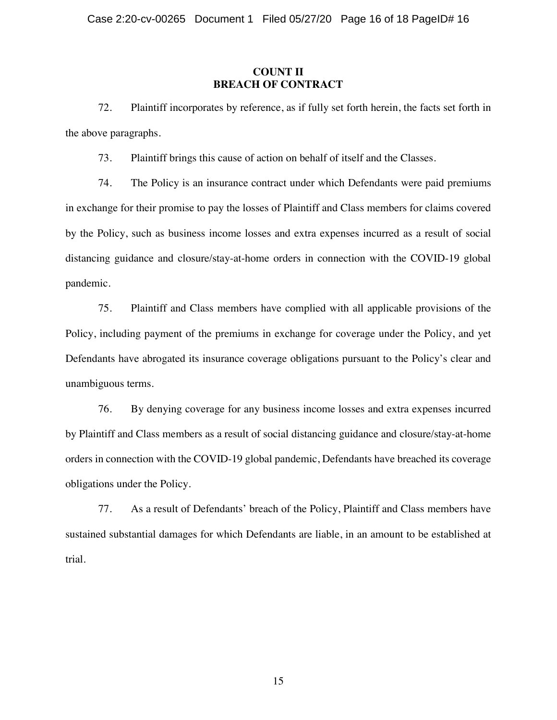### **COUNT II BREACH OF CONTRACT**

72. Plaintiff incorporates by reference, as if fully set forth herein, the facts set forth in the above paragraphs.

73. Plaintiff brings this cause of action on behalf of itself and the Classes.

74. The Policy is an insurance contract under which Defendants were paid premiums in exchange for their promise to pay the losses of Plaintiff and Class members for claims covered by the Policy, such as business income losses and extra expenses incurred as a result of social distancing guidance and closure/stay-at-home orders in connection with the COVID-19 global pandemic.

75. Plaintiff and Class members have complied with all applicable provisions of the Policy, including payment of the premiums in exchange for coverage under the Policy, and yet Defendants have abrogated its insurance coverage obligations pursuant to the Policy's clear and unambiguous terms.

76. By denying coverage for any business income losses and extra expenses incurred by Plaintiff and Class members as a result of social distancing guidance and closure/stay-at-home orders in connection with the COVID-19 global pandemic, Defendants have breached its coverage obligations under the Policy.

77. As a result of Defendants' breach of the Policy, Plaintiff and Class members have sustained substantial damages for which Defendants are liable, in an amount to be established at trial.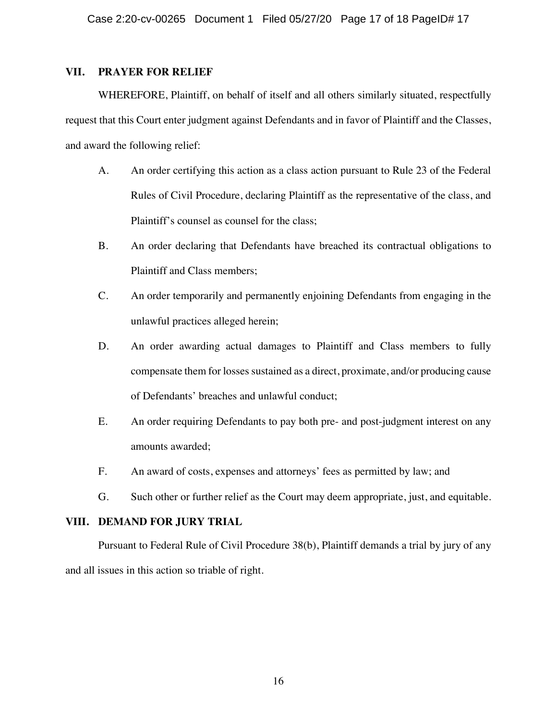## **VII. PRAYER FOR RELIEF**

WHEREFORE, Plaintiff, on behalf of itself and all others similarly situated, respectfully request that this Court enter judgment against Defendants and in favor of Plaintiff and the Classes, and award the following relief:

- A. An order certifying this action as a class action pursuant to Rule 23 of the Federal Rules of Civil Procedure, declaring Plaintiff as the representative of the class, and Plaintiff's counsel as counsel for the class;
- B. An order declaring that Defendants have breached its contractual obligations to Plaintiff and Class members;
- C. An order temporarily and permanently enjoining Defendants from engaging in the unlawful practices alleged herein;
- D. An order awarding actual damages to Plaintiff and Class members to fully compensate them for losses sustained as a direct, proximate, and/or producing cause of Defendants' breaches and unlawful conduct;
- E. An order requiring Defendants to pay both pre- and post-judgment interest on any amounts awarded;
- F. An award of costs, expenses and attorneys' fees as permitted by law; and
- G. Such other or further relief as the Court may deem appropriate, just, and equitable.

# **VIII. DEMAND FOR JURY TRIAL**

Pursuant to Federal Rule of Civil Procedure 38(b), Plaintiff demands a trial by jury of any and all issues in this action so triable of right.